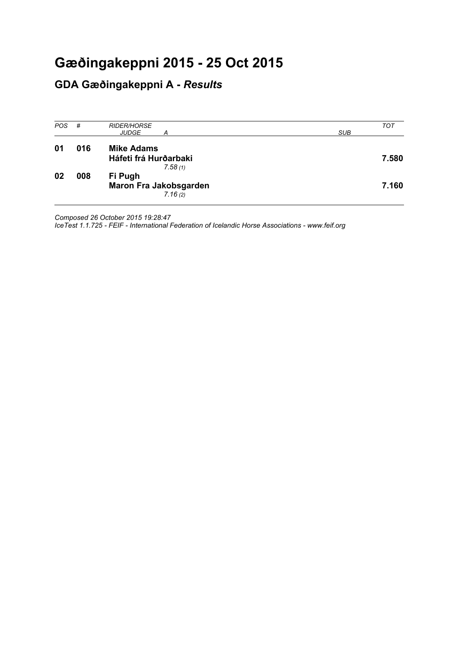#### **GDA Gæðingakeppni A -** *Results*

| <b>POS</b> | #   | <b>RIDER/HORSE</b>                                    |            | <b>TOT</b> |
|------------|-----|-------------------------------------------------------|------------|------------|
|            |     | <i>JUDGE</i><br>А                                     | <b>SUB</b> |            |
| 01         | 016 | <b>Mike Adams</b><br>Háfeti frá Hurðarbaki<br>7.58(1) |            | 7.580      |
| 02         | 008 | Fi Pugh<br>Maron Fra Jakobsgarden<br>7.16(2)          |            | 7.160      |

*Composed 26 October 2015 19:28:47*

 $\overline{a}$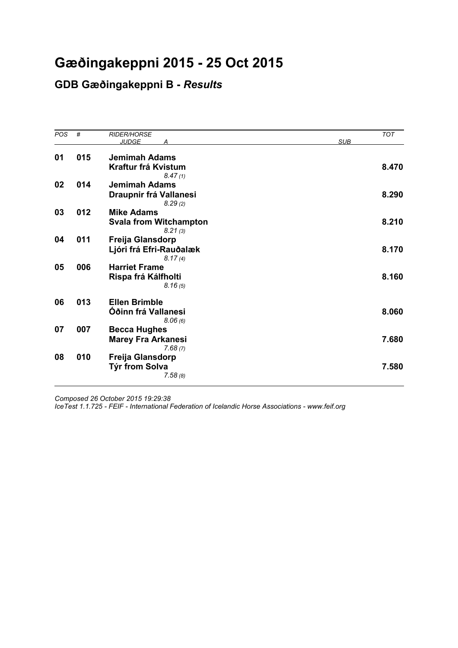#### **GDB Gæðingakeppni B -** *Results*

| <b>POS</b> | #   | <b>RIDER/HORSE</b>            |            | <b>TOT</b> |
|------------|-----|-------------------------------|------------|------------|
|            |     | <b>JUDGE</b><br>А             | <b>SUB</b> |            |
| 01         | 015 | <b>Jemimah Adams</b>          |            |            |
|            |     | Kraftur frá Kvistum           |            | 8.470      |
|            |     | 8.47(1)                       |            |            |
| 02         | 014 | <b>Jemimah Adams</b>          |            |            |
|            |     | Draupnir frá Vallanesi        |            | 8.290      |
|            |     | 8.29(2)                       |            |            |
| 03         | 012 | Mike Adams                    |            |            |
|            |     | <b>Svala from Witchampton</b> |            | 8.210      |
|            |     | 8.21(3)                       |            |            |
| 04         | 011 | Freija Glansdorp              |            |            |
|            |     | Ljóri frá Efri-Rauðalæk       |            | 8.170      |
|            |     | 8.17(4)                       |            |            |
| 05         | 006 | <b>Harriet Frame</b>          |            |            |
|            |     | Rispa frá Kálfholti           |            | 8.160      |
|            |     | 8.16(5)                       |            |            |
| 06         | 013 | <b>Ellen Brimble</b>          |            |            |
|            |     | Óðinn frá Vallanesi           |            | 8.060      |
|            |     | 8.06(6)                       |            |            |
| 07         | 007 | <b>Becca Hughes</b>           |            |            |
|            |     | <b>Marey Fra Arkanesi</b>     |            | 7.680      |
|            |     | 7.68(7)                       |            |            |
| 08         | 010 | Freija Glansdorp              |            |            |
|            |     | Týr from Solva                |            | 7.580      |
|            |     | 7.58(8)                       |            |            |

*Composed 26 October 2015 19:29:38*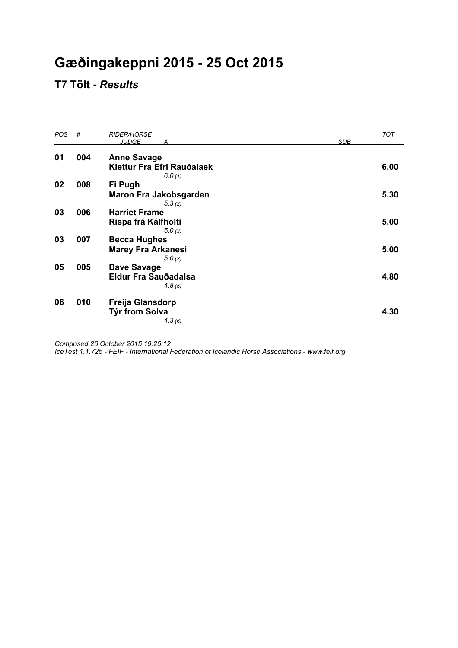#### **T7 Tölt -** *Results*

| <b>POS</b> | #   | <b>RIDER/HORSE</b><br><b>JUDGE</b><br>А | <b>SUB</b> | <b>TOT</b> |
|------------|-----|-----------------------------------------|------------|------------|
|            |     |                                         |            |            |
| 01         | 004 | <b>Anne Savage</b>                      |            |            |
|            |     | Klettur Fra Efri Rauðalaek              |            | 6.00       |
|            |     | 6.0(1)                                  |            |            |
| 02         | 008 | Fi Pugh                                 |            |            |
|            |     | Maron Fra Jakobsgarden                  |            | 5.30       |
|            |     | 5.3(2)                                  |            |            |
| 03         | 006 | <b>Harriet Frame</b>                    |            |            |
|            |     | Rispa frá Kálfholti                     |            | 5.00       |
|            |     | 5.0(3)                                  |            |            |
| 03         | 007 | <b>Becca Hughes</b>                     |            |            |
|            |     | <b>Marey Fra Arkanesi</b>               |            | 5.00       |
|            |     | 5.0(3)                                  |            |            |
| 05         | 005 | Dave Savage                             |            |            |
|            |     | Eldur Fra Sauðadalsa                    |            | 4.80       |
|            |     | 4.8(5)                                  |            |            |
| 06         | 010 | Freija Glansdorp                        |            |            |
|            |     | Týr from Solva                          |            | 4.30       |
|            |     | 4.3(6)                                  |            |            |

*Composed 26 October 2015 19:25:12*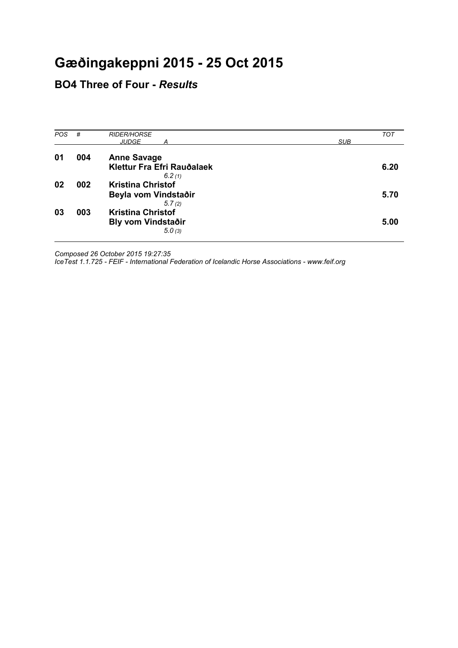#### **BO4 Three of Four -** *Results*

| <b>POS</b> | #   | <b>RIDER/HORSE</b><br><b>JUDGE</b><br>A | <b>SUB</b> | <b>TOT</b> |
|------------|-----|-----------------------------------------|------------|------------|
|            |     |                                         |            |            |
| 01         | 004 | <b>Anne Savage</b>                      |            |            |
|            |     | Klettur Fra Efri Rauðalaek              |            | 6.20       |
|            |     | 6.2(1)                                  |            |            |
| 02         | 002 | <b>Kristina Christof</b>                |            |            |
|            |     | Beyla vom Vindstaðir                    |            | 5.70       |
|            |     | 5.7(2)                                  |            |            |
| 03         | 003 | <b>Kristina Christof</b>                |            |            |
|            |     | Bly vom Vindstaðir                      |            | 5.00       |
|            |     | 5.0(3)                                  |            |            |
|            |     |                                         |            |            |

*Composed 26 October 2015 19:27:35*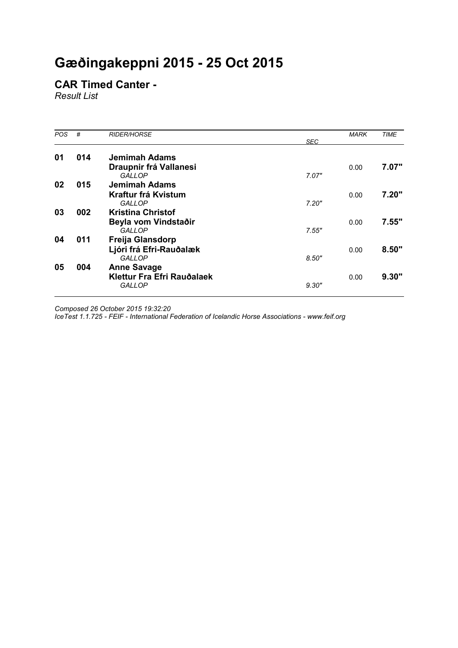**CAR Timed Canter -** 

*Result List*

| <b>POS</b> | #   | <b>RIDER/HORSE</b>         | <b>SEC</b> | <b>MARK</b> | <b>TIME</b> |
|------------|-----|----------------------------|------------|-------------|-------------|
|            |     |                            |            |             |             |
| 01         | 014 | Jemimah Adams              |            |             |             |
|            |     | Draupnir frá Vallanesi     |            | 0.00        | 7.07"       |
|            |     | <b>GALLOP</b>              | 7.07"      |             |             |
| 02         | 015 | <b>Jemimah Adams</b>       |            |             |             |
|            |     | Kraftur frá Kvistum        |            | 0.00        | 7.20"       |
|            |     | <b>GALLOP</b>              | 7.20"      |             |             |
| 03         | 002 | <b>Kristina Christof</b>   |            |             |             |
|            |     | Beyla vom Vindstaðir       |            | 0.00        | 7.55"       |
|            |     | GALLOP                     | 7.55"      |             |             |
| 04         | 011 | <b>Freija Glansdorp</b>    |            |             |             |
|            |     | Ljóri frá Efri-Rauðalæk    |            | 0.00        | 8.50"       |
|            |     | <b>GALLOP</b>              | 8.50"      |             |             |
| 05         | 004 | <b>Anne Savage</b>         |            |             |             |
|            |     | Klettur Fra Efri Rauðalaek |            | 0.00        | 9.30"       |
|            |     | <b>GALLOP</b>              | 9.30"      |             |             |

*Composed 26 October 2015 19:32:20*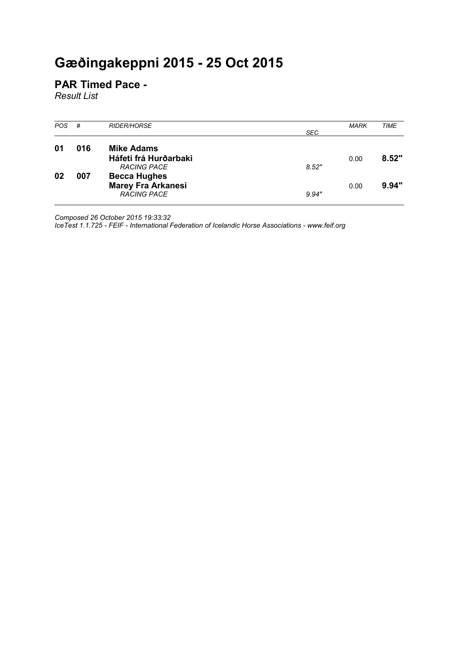**PAR Timed Pace -** 

*Result List*

| <b>POS</b> | #   | <i>RIDER/HORSE</i>        | <b>SEC</b> | <b>MARK</b> | <b>TIME</b> |
|------------|-----|---------------------------|------------|-------------|-------------|
| 01         | 016 | <b>Mike Adams</b>         |            |             |             |
|            |     | Háfeti frá Hurðarbaki     |            | 0.00        | 8.52"       |
|            |     | <b>RACING PACE</b>        | 8.52"      |             |             |
| 02         | 007 | <b>Becca Hughes</b>       |            |             |             |
|            |     | <b>Marey Fra Arkanesi</b> |            | 0.00        | 9.94"       |
|            |     | <b>RACING PACE</b>        | 9.94"      |             |             |

*Composed 26 October 2015 19:33:32*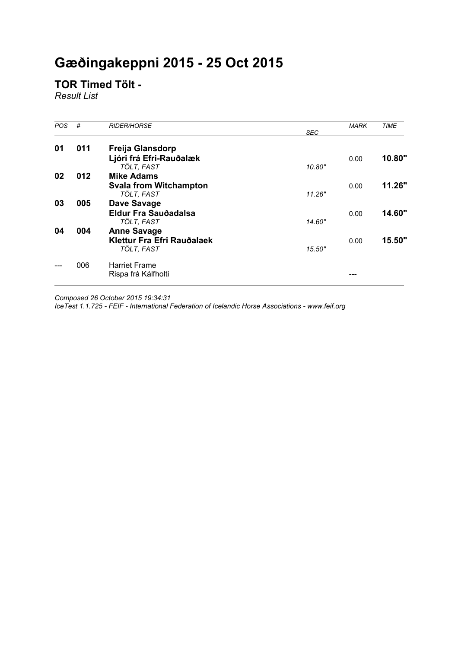**TOR Timed Tölt -** 

*Result List*

| <b>POS</b> | #   | <b>RIDER/HORSE</b>            | <b>SEC</b> | <b>MARK</b> | <b>TIME</b> |
|------------|-----|-------------------------------|------------|-------------|-------------|
| 01         | 011 | <b>Freija Glansdorp</b>       |            |             |             |
|            |     | Ljóri frá Efri-Rauðalæk       |            | 0.00        | 10.80"      |
|            |     | TÖLT, FAST                    | 10.80"     |             |             |
| 02         | 012 | <b>Mike Adams</b>             |            |             |             |
|            |     | <b>Svala from Witchampton</b> |            | 0.00        | 11.26"      |
|            |     | TÖLT, FAST                    | 11.26"     |             |             |
| 03         | 005 | Dave Savage                   |            |             |             |
|            |     | Eldur Fra Sauðadalsa          |            | 0.00        | 14.60"      |
|            |     | TÖLT, FAST                    | 14.60"     |             |             |
| 04         | 004 | <b>Anne Savage</b>            |            |             |             |
|            |     | Klettur Fra Efri Rauðalaek    |            | 0.00        | 15.50"      |
|            |     | TÖLT, FAST                    | 15.50"     |             |             |
|            | 006 | <b>Harriet Frame</b>          |            |             |             |
|            |     | Rispa frá Kálfholti           |            |             |             |

*Composed 26 October 2015 19:34:31*